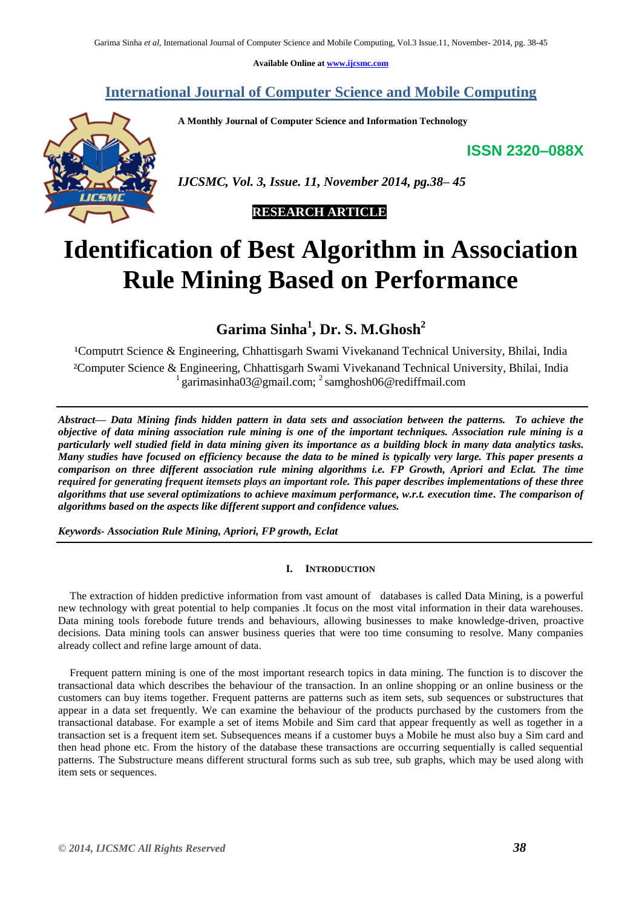**Available Online at [www.ijcsmc.com](http://www.ijcsmc.com/)**

**International Journal of Computer Science and Mobile Computing**

 **A Monthly Journal of Computer Science and Information Technology**

**ISSN 2320–088X**



# **Identification of Best Algorithm in Association Rule Mining Based on Performance**

**Garima Sinha<sup>1</sup> , Dr. S. M.Ghosh<sup>2</sup>**

<sup>1</sup>Computrt Science & Engineering, Chhattisgarh Swami Vivekanand Technical University, Bhilai, India ²Computer Science & Engineering, Chhattisgarh Swami Vivekanand Technical University, Bhilai, India <sup>1</sup> garimasinha03@gmail.com; <sup>2</sup> samghosh06@rediffmail.com

*Abstract— Data Mining finds hidden pattern in data sets and association between the patterns. To achieve the objective of data mining association rule mining is one of the important techniques. Association rule mining is a particularly well studied field in data mining given its importance as a building block in many data analytics tasks. Many studies have focused on efficiency because the data to be mined is typically very large. This paper presents a comparison on three different association rule mining algorithms i.e. FP Growth, Apriori and Eclat. The time required for generating frequent itemsets plays an important role. This paper describes implementations of these three algorithms that use several optimizations to achieve maximum performance, w.r.t. execution time. The comparison of algorithms based on the aspects like different support and confidence values.*

*Keywords- Association Rule Mining, Apriori, FP growth, Eclat* 

# **I. INTRODUCTION**

The extraction of hidden predictive information from vast amount of databases is called Data Mining, is a powerful new technology with great potential to help companies .It focus on the most vital information in their data warehouses. Data mining tools forebode future trends and behaviours, allowing businesses to make knowledge-driven, proactive decisions. Data mining tools can answer business queries that were too time consuming to resolve. Many companies already collect and refine large amount of data.

Frequent pattern mining is one of the most important research topics in data mining. The function is to discover the transactional data which describes the behaviour of the transaction. In an online shopping or an online business or the customers can buy items together. Frequent patterns are patterns such as item sets, sub sequences or substructures that appear in a data set frequently. We can examine the behaviour of the products purchased by the customers from the transactional database. For example a set of items Mobile and Sim card that appear frequently as well as together in a transaction set is a frequent item set. Subsequences means if a customer buys a Mobile he must also buy a Sim card and then head phone etc. From the history of the database these transactions are occurring sequentially is called sequential patterns. The Substructure means different structural forms such as sub tree, sub graphs, which may be used along with item sets or sequences.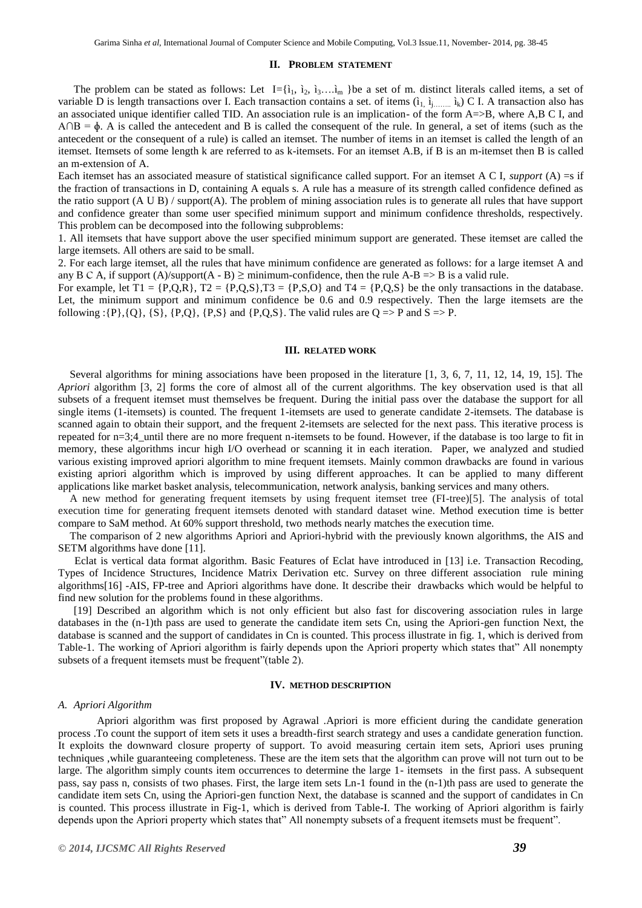# **II. PROBLEM STATEMENT**

The problem can be stated as follows: Let  $I = \{i_1, i_2, i_3, \ldots, i_m\}$  be a set of m. distinct literals called items, a set of variable D is length transactions over I. Each transaction contains a set. of items  $(i_1, i_1, \ldots, i_k)$  C I. A transaction also has an associated unique identifier called TID. An association rule is an implication- of the form A=>B, where A,B C I, and  $A \cap B = \phi$ . A is called the antecedent and B is called the consequent of the rule. In general, a set of items (such as the antecedent or the consequent of a rule) is called an itemset. The number of items in an itemset is called the length of an itemset. Itemsets of some length k are referred to as k-itemsets. For an itemset A.B, if B is an m-itemset then B is called an m-extension of A.

Each itemset has an associated measure of statistical significance called support. For an itemset A C I, *support* (A) =s if the fraction of transactions in D, containing A equals s. A rule has a measure of its strength called confidence defined as the ratio support (A U B) / support(A). The problem of mining association rules is to generate all rules that have support and confidence greater than some user specified minimum support and minimum confidence thresholds, respectively. This problem can be decomposed into the following subproblems:

1. All itemsets that have support above the user specified minimum support are generated. These itemset are called the large itemsets. All others are said to be small.

2. For each large itemset, all the rules that have minimum confidence are generated as follows: for a large itemset A and any B C A, if support (A)/support (A - B)  $\geq$  minimum-confidence, then the rule A-B  $\Rightarrow$  B is a valid rule.

For example, let  $T1 = \{P,Q,R\}$ ,  $T2 = \{P,Q,S\}$ ,  $T3 = \{P,S,Q\}$  and  $T4 = \{P,Q,S\}$  be the only transactions in the database. Let, the minimum support and minimum confidence be 0.6 and 0.9 respectively. Then the large itemsets are the following : $\{P\}, \{Q\}, \{S\}, \{P,Q\}, \{P,S\}$  and  $\{P,Q,S\}$ . The valid rules are  $Q \Rightarrow P$  and  $S \Rightarrow P$ .

### **III. RELATED WORK**

Several algorithms for mining associations have been proposed in the literature [1, 3, 6, 7, 11, 12, 14, 19, 15]. The *Apriori* algorithm [3, 2] forms the core of almost all of the current algorithms. The key observation used is that all subsets of a frequent itemset must themselves be frequent. During the initial pass over the database the support for all single items (1-itemsets) is counted. The frequent 1-itemsets are used to generate candidate 2-itemsets. The database is scanned again to obtain their support, and the frequent 2-itemsets are selected for the next pass. This iterative process is repeated for n=3;4 until there are no more frequent n-itemsets to be found. However, if the database is too large to fit in memory, these algorithms incur high I/O overhead or scanning it in each iteration. Paper, we analyzed and studied various existing improved apriori algorithm to mine frequent itemsets. Mainly common drawbacks are found in various existing apriori algorithm which is improved by using different approaches. It can be applied to many different applications like market basket analysis, telecommunication, network analysis, banking services and many others.

A new method for generating frequent itemsets by using frequent itemset tree (FI-tree)[5]. The analysis of total execution time for generating frequent itemsets denoted with standard dataset wine. Method execution time is better compare to SaM method. At 60% support threshold, two methods nearly matches the execution time.

The comparison of 2 new algorithms Apriori and Apriori-hybrid with the previously known algorithms, the AIS and SETM algorithms have done [11].

 Eclat is vertical data format algorithm. Basic Features of Eclat have introduced in [13] i.e. Transaction Recoding, Types of Incidence Structures, Incidence Matrix Derivation etc. Survey on three different association rule mining algorithms[16] -AIS, FP-tree and Apriori algorithms have done. It describe their drawbacks which would be helpful to find new solution for the problems found in these algorithms.

[19] Described an algorithm which is not only efficient but also fast for discovering association rules in large databases in the (n-1)th pass are used to generate the candidate item sets Cn, using the Apriori-gen function Next, the database is scanned and the support of candidates in Cn is counted. This process illustrate in fig. 1, which is derived from Table-1. The working of Apriori algorithm is fairly depends upon the Apriori property which states that" All nonempty subsets of a frequent itemsets must be frequent"(table 2).

#### **IV. METHOD DESCRIPTION**

#### *A. Apriori Algorithm*

Apriori algorithm was first proposed by Agrawal .Apriori is more efficient during the candidate generation process .To count the support of item sets it uses a breadth-first search strategy and uses a candidate generation function. It exploits the downward closure property of support. To avoid measuring certain item sets, Apriori uses pruning techniques ,while guaranteeing completeness. These are the item sets that the algorithm can prove will not turn out to be large. The algorithm simply counts item occurrences to determine the large 1- itemsets in the first pass. A subsequent pass, say pass n, consists of two phases. First, the large item sets Ln-1 found in the (n-1)th pass are used to generate the candidate item sets Cn, using the Apriori-gen function Next, the database is scanned and the support of candidates in Cn is counted. This process illustrate in Fig-1, which is derived from Table-I. The working of Apriori algorithm is fairly depends upon the Apriori property which states that" All nonempty subsets of a frequent itemsets must be frequent".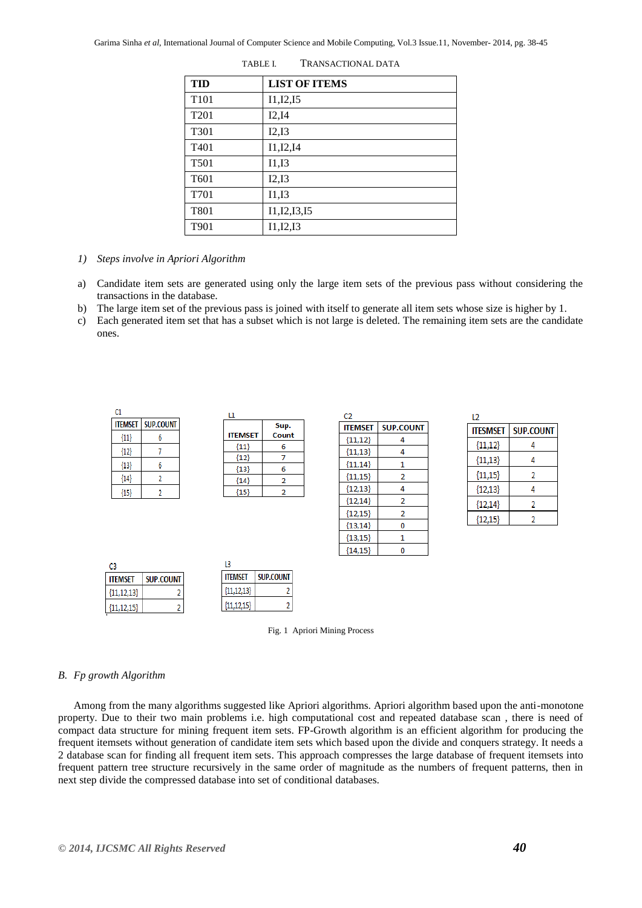| <b>TID</b>       | <b>LIST OF ITEMS</b> |
|------------------|----------------------|
| T <sub>101</sub> | I1, I2, I5           |
| T <sub>201</sub> | I2,I4                |
| T <sub>301</sub> | I2,I3                |
| T <sub>401</sub> | I1, I2, I4           |
| T <sub>501</sub> | I1,I3                |
| T <sub>601</sub> | I2,I3                |
| T701             | I1,I3                |
| T801             | I1, I2, I3, I5       |
| T901             | I1,I2,I3             |

TABLE I. TRANSACTIONAL DATA

- *1) Steps involve in Apriori Algorithm*
- a) Candidate item sets are generated using only the large item sets of the previous pass without considering the transactions in the database.
- b) The large item set of the previous pass is joined with itself to generate all item sets whose size is higher by 1.
- c) Each generated item set that has a subset which is not large is deleted. The remaining item sets are the candidate ones.



Fig. 1 Apriori Mining Process

#### *B. Fp growth Algorithm*

Among from the many algorithms suggested like Apriori algorithms. Apriori algorithm based upon the anti-monotone property. Due to their two main problems i.e. high computational cost and repeated database scan , there is need of compact data structure for mining frequent item sets. FP-Growth algorithm is an efficient algorithm for producing the frequent itemsets without generation of candidate item sets which based upon the divide and conquers strategy. It needs a 2 database scan for finding all frequent item sets. This approach compresses the large database of frequent itemsets into frequent pattern tree structure recursively in the same order of magnitude as the numbers of frequent patterns, then in next step divide the compressed database into set of conditional databases.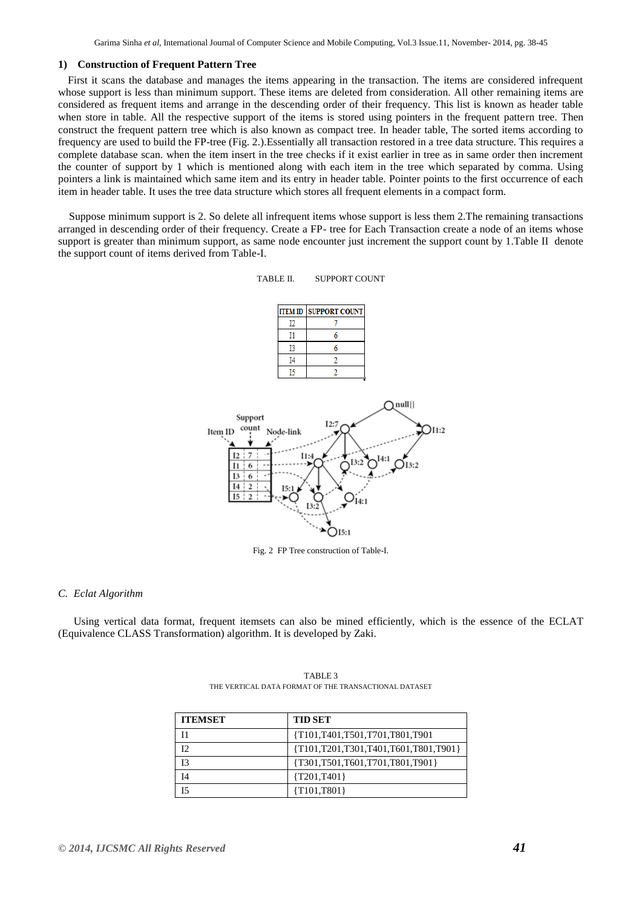## **1) Construction of Frequent Pattern Tree**

First it scans the database and manages the items appearing in the transaction. The items are considered infrequent whose support is less than minimum support. These items are deleted from consideration. All other remaining items are considered as frequent items and arrange in the descending order of their frequency. This list is known as header table when store in table. All the respective support of the items is stored using pointers in the frequent pattern tree. Then construct the frequent pattern tree which is also known as compact tree. In header table, The sorted items according to frequency are used to build the FP-tree (Fig. 2.).Essentially all transaction restored in a tree data structure. This requires a complete database scan. when the item insert in the tree checks if it exist earlier in tree as in same order then increment the counter of support by 1 which is mentioned along with each item in the tree which separated by comma. Using pointers a link is maintained which same item and its entry in header table. Pointer points to the first occurrence of each item in header table. It uses the tree data structure which stores all frequent elements in a compact form.

 Suppose minimum support is 2. So delete all infrequent items whose support is less them 2.The remaining transactions arranged in descending order of their frequency. Create a FP- tree for Each Transaction create a node of an items whose support is greater than minimum support, as same node encounter just increment the support count by 1.Table II denote the support count of items derived from Table-I.

## TABLE II. SUPPORT COUNT





Fig. 2 FP Tree construction of Table-I.

## *C. Eclat Algorithm*

Using vertical data format, frequent itemsets can also be mined efficiently, which is the essence of the ECLAT (Equivalence CLASS Transformation) algorithm. It is developed by Zaki.

| <b>ITEMSET</b> | <b>TID SET</b>                       |
|----------------|--------------------------------------|
| 11             | {T101,T401,T501,T701,T801,T901       |
| I2             | {T101,T201,T301,T401,T601,T801,T901} |
| 13             | {T301,T501,T601,T701,T801,T901}      |
| Ī4             | ${T201,T401}$                        |
| 15             | ${T101, T801}$                       |

TABLE 3 THE VERTICAL DATA FORMAT OF THE TRANSACTIONAL DATASET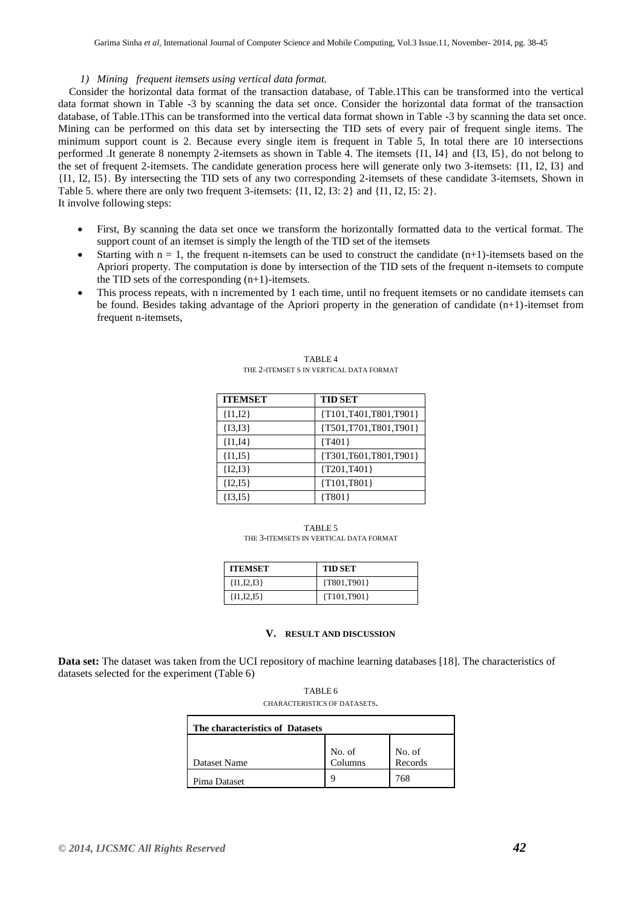# *1) Mining frequent itemsets using vertical data format.*

 Consider the horizontal data format of the transaction database, of Table.1This can be transformed into the vertical data format shown in Table -3 by scanning the data set once. Consider the horizontal data format of the transaction database, of Table.1This can be transformed into the vertical data format shown in Table -3 by scanning the data set once. Mining can be performed on this data set by intersecting the TID sets of every pair of frequent single items. The minimum support count is 2. Because every single item is frequent in Table 5, In total there are 10 intersections performed .It generate 8 nonempty 2-itemsets as shown in Table 4. The itemsets {I1, I4} and {I3, I5}, do not belong to the set of frequent 2-itemsets. The candidate generation process here will generate only two 3-itemsets: {I1, I2, I3} and {I1, I2, I5}. By intersecting the TID sets of any two corresponding 2-itemsets of these candidate 3-itemsets, Shown in Table 5. where there are only two frequent 3-itemsets: {I1, I2, I3: 2} and {I1, I2, I5: 2}. It involve following steps:

- First, By scanning the data set once we transform the horizontally formatted data to the vertical format. The support count of an itemset is simply the length of the TID set of the itemsets
- Starting with  $n = 1$ , the frequent n-itemsets can be used to construct the candidate  $(n+1)$ -itemsets based on the Apriori property. The computation is done by intersection of the TID sets of the frequent n-itemsets to compute the TID sets of the corresponding  $(n+1)$ -itemsets.
- This process repeats, with n incremented by 1 each time, until no frequent itemsets or no candidate itemsets can be found. Besides taking advantage of the Apriori property in the generation of candidate (n+1)-itemset from frequent n-itemsets,

| <b>ITEMSET</b> | <b>TID SET</b>             |
|----------------|----------------------------|
| ${I1,I2}$      | {T101,T401,T801,T901}      |
| ${13,13}$      | {T501,T701,T801,T901}      |
| ${I1,I4}$      | ${T401}$                   |
| ${11,15}$      | ${T301, T601, T801, T901}$ |
| ${I2,I3}$      | ${T201, T401}$             |
| ${I2,I5}$      | ${T101, T801}$             |
| ${13,15}$      | ${T801}$                   |

TABLE 4 THE 2-ITEMSET S IN VERTICAL DATA FORMAT

TABLE 5 THE 3-ITEMSETS IN VERTICAL DATA FORMAT

| <b>ITEMSET</b> | <b>TID SET</b> |
|----------------|----------------|
| ${I1, I2, I3}$ | ${T801, T901}$ |
| ${I1, I2, I5}$ | ${T101, T901}$ |

# **V. RESULT AND DISCUSSION**

**Data set:** The dataset was taken from the UCI repository of machine learning databases [18]. The characteristics of datasets selected for the experiment (Table 6)

| The characteristics of Datasets |                   |                   |  |  |  |  |
|---------------------------------|-------------------|-------------------|--|--|--|--|
| Dataset Name                    | No. of<br>Columns | No. of<br>Records |  |  |  |  |
| Pima Dataset                    |                   | 768               |  |  |  |  |

TABLE 6 CHARACTERISTICS OF DATASETS.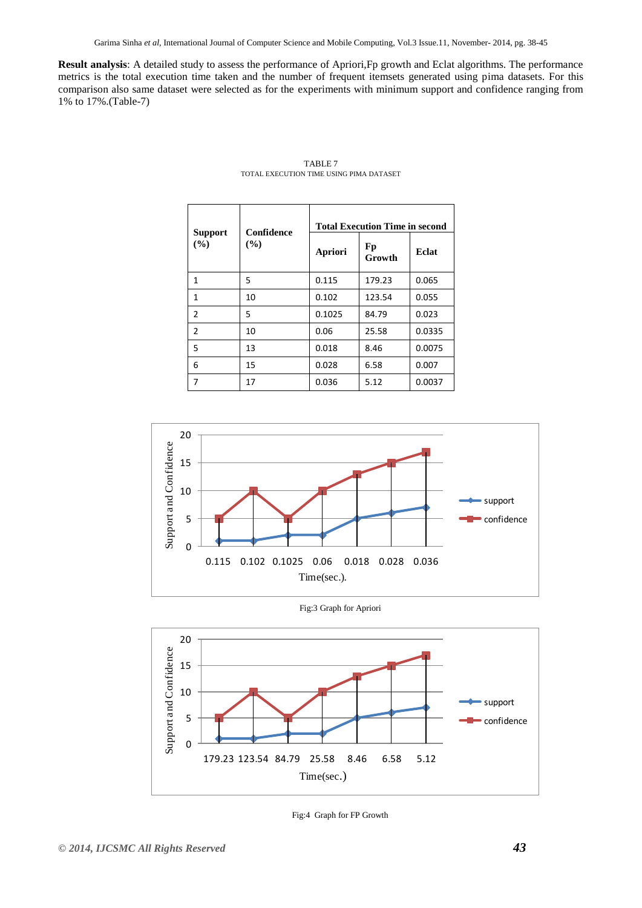Garima Sinha *et al*, International Journal of Computer Science and Mobile Computing, Vol.3 Issue.11, November- 2014, pg. 38-45

**Result analysis**: A detailed study to assess the performance of Apriori,Fp growth and Eclat algorithms. The performance metrics is the total execution time taken and the number of frequent itemsets generated using pima datasets. For this comparison also same dataset were selected as for the experiments with minimum support and confidence ranging from 1% to 17%.(Table-7)

| <b>Support</b><br>(%) | Confidence<br>$($ %) | <b>Total Execution Time in second</b> |              |        |
|-----------------------|----------------------|---------------------------------------|--------------|--------|
|                       |                      | Apriori                               | Fp<br>Growth | Eclat  |
| 1                     | 5                    | 0.115                                 | 179.23       | 0.065  |
| 1                     | 10                   | 0.102                                 | 123.54       | 0.055  |
| $\overline{2}$        | 5                    | 0.1025                                | 84.79        | 0.023  |
| $\overline{2}$        | 10                   | 0.06                                  | 25.58        | 0.0335 |
| 5                     | 13                   | 0.018                                 | 8.46         | 0.0075 |
| 6                     | 15                   | 0.028                                 | 6.58         | 0.007  |
| 7                     | 17                   | 0.036                                 | 5.12         | 0.0037 |

TABLE 7 TOTAL EXECUTION TIME USING PIMA DATASET



Fig:3 Graph for Apriori



Fig:4 Graph for FP Growth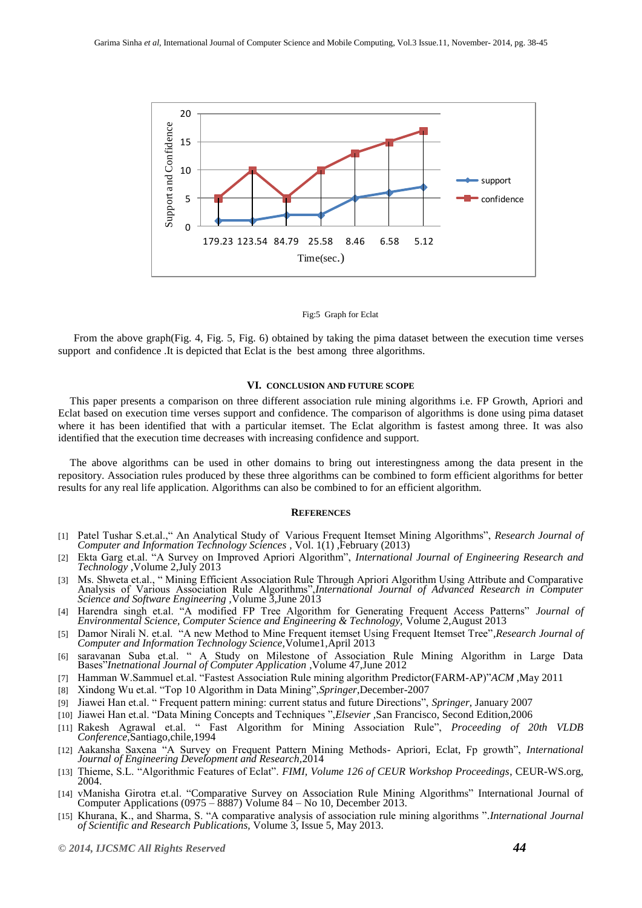

#### Fig:5 Graph for Eclat

From the above graph(Fig. 4, Fig. 5, Fig. 6) obtained by taking the pima dataset between the execution time verses support and confidence .It is depicted that Eclat is the best among three algorithms.

## **VI. CONCLUSION AND FUTURE SCOPE**

This paper presents a comparison on three different association rule mining algorithms i.e. FP Growth, Apriori and Eclat based on execution time verses support and confidence. The comparison of algorithms is done using pima dataset where it has been identified that with a particular itemset. The Eclat algorithm is fastest among three. It was also identified that the execution time decreases with increasing confidence and support.

The above algorithms can be used in other domains to bring out interestingness among the data present in the repository. Association rules produced by these three algorithms can be combined to form efficient algorithms for better results for any real life application. Algorithms can also be combined to for an efficient algorithm.

#### **REFERENCES**

- [1] Patel Tushar S.et.al.," An Analytical Study of Various Frequent Itemset Mining Algorithms", *Research Journal of Computer and Information Technology Sciences* , Vol. 1(1) ,February (2013)
- [2] Ekta Garg et.al. "A Survey on Improved Apriori Algorithm", *International Journal of Engineering Research and Technology ,*Volume 2,July 2013
- [3] Ms. Shweta et.al., " Mining Efficient Association Rule Through Apriori Algorithm Using Attribute and Comparative Analysis of Various Association Rule Algorithms",*International Journal of Advanced Research in Computer Science and Software Engineering ,*Volume 3,June 2013
- [4] Harendra singh et.al. "A modified FP Tree Algorithm for Generating Frequent Access Patterns" *Journal of Environmental Science, Computer Science and Engineering & Technology,* Volume 2,August 2013
- [5] Damor Nirali N. et.al. "A new Method to Mine Frequent itemset Using Frequent Itemset Tree"*,Research Journal of Computer and Information Technology Science,*Volume1,April 2013
- [6] saravanan Suba et.al. " A Study on Milestone of Association Rule Mining Algorithm in Large Data Bases"*Inetnational Journal of Computer Application* ,Volume 47,June 2012
- [7] Hamman W.Sammuel et.al. "Fastest Association Rule mining algorithm Predictor(FARM-AP)"*ACM* ,May 2011
- [8] Xindong Wu et.al. "Top 10 Algorithm in Data Mining",*Springer*,December-2007
- [9] Jiawei Han et.al. " Frequent pattern mining: current status and future Directions", *Springer,* January 2007
- [10] Jiawei Han et.al. "Data Mining Concepts and Techniques ",*Elsevier ,*San Francisco, Second Edition,2006
- [11] Rakesh Agrawal et.al. " Fast Algorithm for Mining Association Rule", *Proceeding of 20th VLDB Conference*,Santiago,chile,1994
- [12] Aakansha Saxena "A Survey on Frequent Pattern Mining Methods- Apriori, Eclat, Fp growth", *International Journal of Engineering Development and Research,*2014
- [13] Thieme, S.L. "Algorithmic Features of Eclat". *FIMI, Volume 126 of CEUR Workshop Proceedings*, CEUR-WS.org, 2004.
- [14] vManisha Girotra et.al. "Comparative Survey on Association Rule Mining Algorithms" International Journal of Computer Applications (0975 – 8887) Volume 84 – No 10, December 2013.
- [15] Khurana, K., and Sharma, S. "A comparative analysis of association rule mining algorithms "*.International Journal of Scientific and Research Publications,* Volume 3, Issue 5, May 2013.